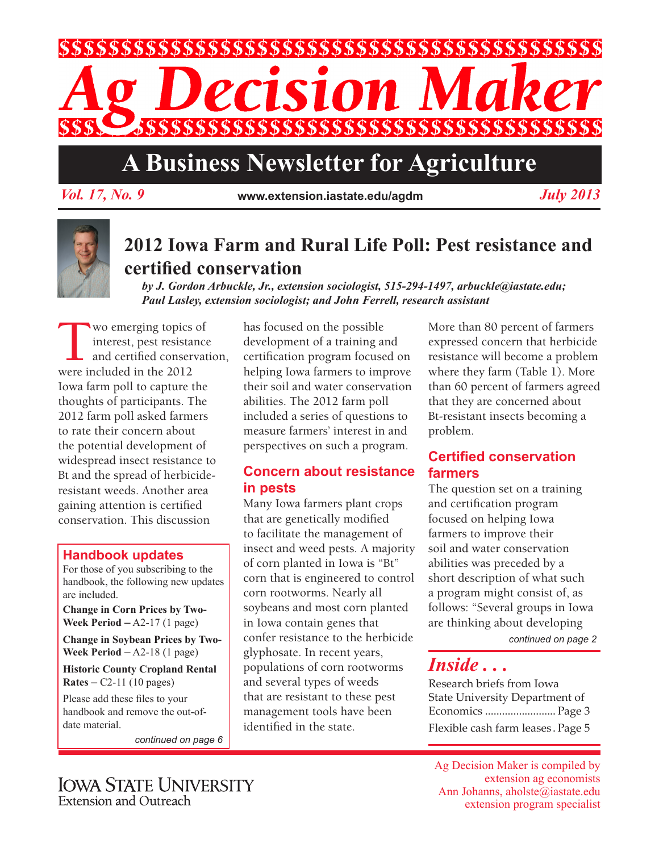

# **A Business Newsletter for Agriculture**

*Vol. 17, No. 9* **www.extension.iastate.edu/agdm** *July 2013*

# **2012 Iowa Farm and Rural Life Poll: Pest resistance and certified conservation**

*by J. Gordon Arbuckle, Jr., extension sociologist, 515-294-1497, arbuckle@iastate.edu; Paul Lasley, extension sociologist; and John Ferrell, research assistant*

Wo emerging topics of<br>interest, pest resistance<br>and certified conservat<br>were included in the 2012 interest, pest resistance and certified conservation, were included in the 2012 Iowa farm poll to capture the thoughts of participants. The 2012 farm poll asked farmers to rate their concern about the potential development of widespread insect resistance to Bt and the spread of herbicideresistant weeds. Another area gaining attention is certified conservation. This discussion

#### **Handbook updates**

For those of you subscribing to the handbook, the following new updates are included.

**Change in Corn Prices by Two-Week Period**  $-A2-17$  (1 page)

**Change in Soybean Prices by Two-Week Period** – A2-18 (1 page)

**Historic County Cropland Rental Rates** – C2-11 (10 pages)

Please add these files to your handbook and remove the out-ofdate material.

*continued on page 6*

has focused on the possible development of a training and certification program focused on helping Iowa farmers to improve their soil and water conservation abilities. The 2012 farm poll included a series of questions to measure farmers' interest in and perspectives on such a program.

#### **Concern about resistance in pests**

Many Iowa farmers plant crops that are genetically modified to facilitate the management of insect and weed pests. A majority of corn planted in Iowa is "Bt" corn that is engineered to control corn rootworms. Nearly all soybeans and most corn planted in Iowa contain genes that confer resistance to the herbicide glyphosate. In recent years, populations of corn rootworms and several types of weeds that are resistant to these pest management tools have been identified in the state.

More than 80 percent of farmers expressed concern that herbicide resistance will become a problem where they farm (Table 1). More than 60 percent of farmers agreed that they are concerned about Bt-resistant insects becoming a problem.

## **Certified conservation farmers**

The question set on a training and certification program focused on helping Iowa farmers to improve their soil and water conservation abilities was preceded by a short description of what such a program might consist of, as follows: "Several groups in Iowa are thinking about developing

*continued on page 2*

# *Inside . . .*

Research briefs from Iowa State University Department of Economics ......................... Page 3 Flexible cash farm leases . Page 5

Ag Decision Maker is compiled by extension ag economists Ann Johanns, aholste@iastate.edu extension program specialist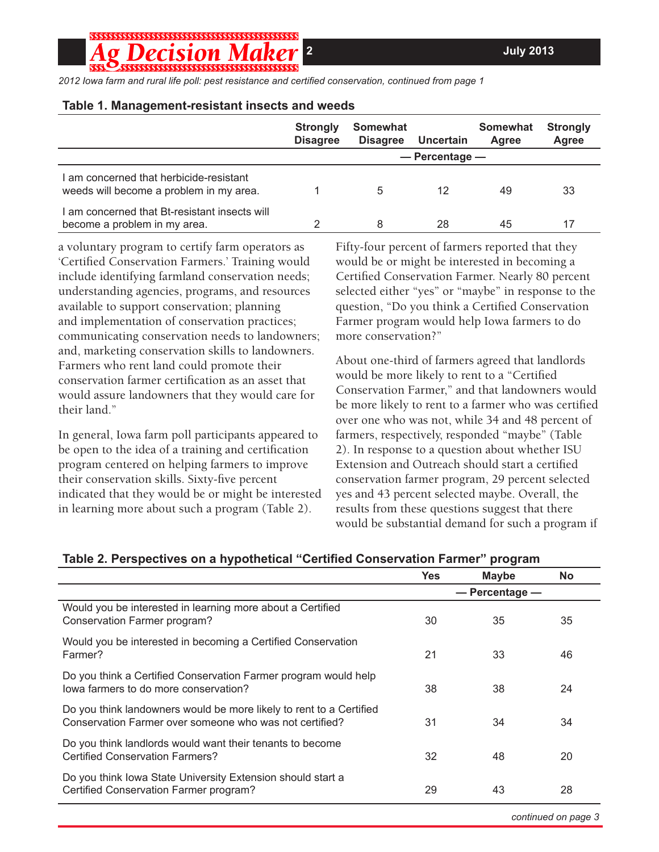**2****July 2013**

;;;;;;;;;;;;;;;;;;;;;;;;;;;;;;;;;;;;;;

*2012 Iowa farm and rural life poll: pest resistance and certified conservation, continued from page 1*

#### **Table 1. Management-resistant insects and weeds**

|                                                                                    | <b>Strongly</b><br><b>Disagree</b> | Somewhat<br><b>Disagree</b> | Uncertain | <b>Somewhat</b><br>Agree | <b>Strongly</b><br>Agree |
|------------------------------------------------------------------------------------|------------------------------------|-----------------------------|-----------|--------------------------|--------------------------|
|                                                                                    |                                    | $-$ Percentage $-$          |           |                          |                          |
| I am concerned that herbicide-resistant<br>weeds will become a problem in my area. |                                    | 5                           | 12        | 49                       | 33                       |
| I am concerned that Bt-resistant insects will<br>become a problem in my area.      |                                    | 8                           | 28        | 45                       | 17                       |

a voluntary program to certify farm operators as 'Certified Conservation Farmers.' Training would include identifying farmland conservation needs; understanding agencies, programs, and resources available to support conservation; planning and implementation of conservation practices; communicating conservation needs to landowners; and, marketing conservation skills to landowners. Farmers who rent land could promote their conservation farmer certification as an asset that would assure landowners that they would care for their land."

In general, Iowa farm poll participants appeared to be open to the idea of a training and certification program centered on helping farmers to improve their conservation skills. Sixty-five percent indicated that they would be or might be interested in learning more about such a program (Table 2).

Fifty-four percent of farmers reported that they would be or might be interested in becoming a Certified Conservation Farmer. Nearly 80 percent selected either "yes" or "maybe" in response to the question, "Do you think a Certified Conservation Farmer program would help Iowa farmers to do more conservation?"

About one-third of farmers agreed that landlords would be more likely to rent to a "Certified Conservation Farmer," and that landowners would be more likely to rent to a farmer who was certified over one who was not, while 34 and 48 percent of farmers, respectively, responded "maybe" (Table 2). In response to a question about whether ISU Extension and Outreach should start a certified conservation farmer program, 29 percent selected yes and 43 percent selected maybe. Overall, the results from these questions suggest that there would be substantial demand for such a program if

|                                                                                                                                | <b>Yes</b>         | <b>Maybe</b> | <b>No</b> |
|--------------------------------------------------------------------------------------------------------------------------------|--------------------|--------------|-----------|
|                                                                                                                                | $-$ Percentage $-$ |              |           |
| Would you be interested in learning more about a Certified<br>Conservation Farmer program?                                     | 30                 | 35           | 35        |
| Would you be interested in becoming a Certified Conservation<br>Farmer?                                                        | 21                 | 33           | 46        |
| Do you think a Certified Conservation Farmer program would help<br>lowa farmers to do more conservation?                       | 38                 | 38           | 24        |
| Do you think landowners would be more likely to rent to a Certified<br>Conservation Farmer over someone who was not certified? | 31                 | 34           | 34        |
| Do you think landlords would want their tenants to become<br><b>Certified Conservation Farmers?</b>                            | 32                 | 48           | 20        |
| Do you think Iowa State University Extension should start a<br>Certified Conservation Farmer program?                          | 29                 | 43           | 28        |

#### **Table 2. Perspectives on a hypothetical "Certified Conservation Farmer" program**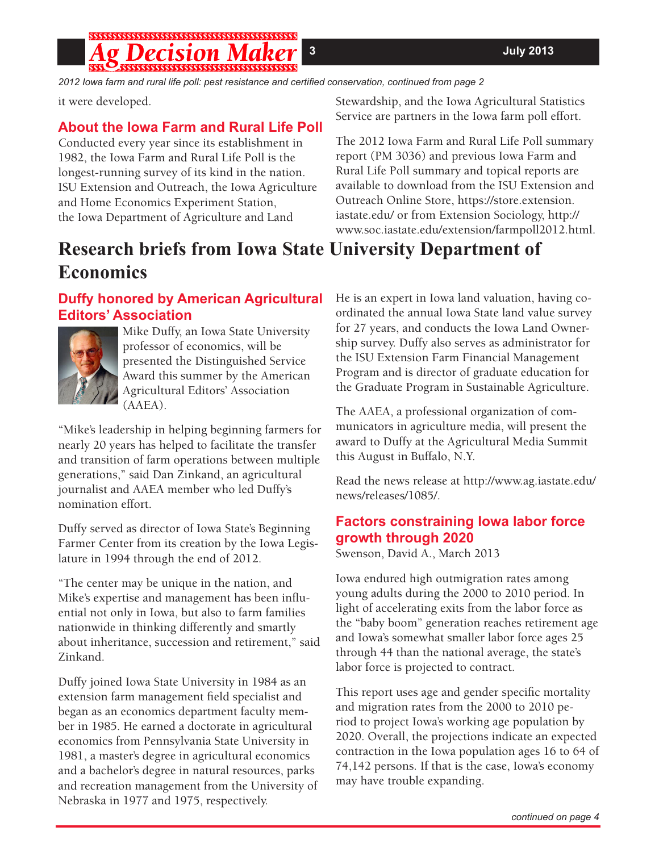# 

*2012 Iowa farm and rural life poll: pest resistance and certified conservation, continued from page 2*

it were developed.

## **About the Iowa Farm and Rural Life Poll**

Conducted every year since its establishment in 1982, the Iowa Farm and Rural Life Poll is the longest-running survey of its kind in the nation. ISU Extension and Outreach, the Iowa Agriculture and Home Economics Experiment Station, the Iowa Department of Agriculture and Land

Stewardship, and the Iowa Agricultural Statistics Service are partners in the Iowa farm poll effort.

The 2012 Iowa Farm and Rural Life Poll summary report (PM 3036) and previous Iowa Farm and Rural Life Poll summary and topical reports are available to download from the ISU Extension and Outreach Online Store, https://store.extension. iastate.edu/ or from Extension Sociology, http:// www.soc.iastate.edu/extension/farmpoll2012.html.

# **Research briefs from Iowa State University Department of Economics**

## **Duffy honored by American Agricultural Editors' Association**



Mike Duffy, an Iowa State University professor of economics, will be presented the Distinguished Service Award this summer by the American Agricultural Editors' Association (AAEA).

"Mike's leadership in helping beginning farmers for nearly 20 years has helped to facilitate the transfer and transition of farm operations between multiple generations," said Dan Zinkand, an agricultural journalist and AAEA member who led Duffy's nomination effort.

Duffy served as director of Iowa State's Beginning Farmer Center from its creation by the Iowa Legislature in 1994 through the end of 2012.

"The center may be unique in the nation, and Mike's expertise and management has been influential not only in Iowa, but also to farm families nationwide in thinking differently and smartly about inheritance, succession and retirement," said Zinkand.

Duffy joined Iowa State University in 1984 as an extension farm management field specialist and began as an economics department faculty member in 1985. He earned a doctorate in agricultural economics from Pennsylvania State University in 1981, a master's degree in agricultural economics and a bachelor's degree in natural resources, parks and recreation management from the University of Nebraska in 1977 and 1975, respectively.

He is an expert in Iowa land valuation, having coordinated the annual Iowa State land value survey for 27 years, and conducts the Iowa Land Ownership survey. Duffy also serves as administrator for the ISU Extension Farm Financial Management Program and is director of graduate education for the Graduate Program in Sustainable Agriculture.

The AAEA, a professional organization of communicators in agriculture media, will present the award to Duffy at the Agricultural Media Summit this August in Buffalo, N.Y.

Read the news release at http://www.ag.iastate.edu/ news/releases/1085/.

## **Factors constraining Iowa labor force growth through 2020**

Swenson, David A., March 2013

Iowa endured high outmigration rates among young adults during the 2000 to 2010 period. In light of accelerating exits from the labor force as the "baby boom" generation reaches retirement age and Iowa's somewhat smaller labor force ages 25 through 44 than the national average, the state's labor force is projected to contract.

This report uses age and gender specific mortality and migration rates from the 2000 to 2010 period to project Iowa's working age population by 2020. Overall, the projections indicate an expected contraction in the Iowa population ages 16 to 64 of 74,142 persons. If that is the case, Iowa's economy may have trouble expanding.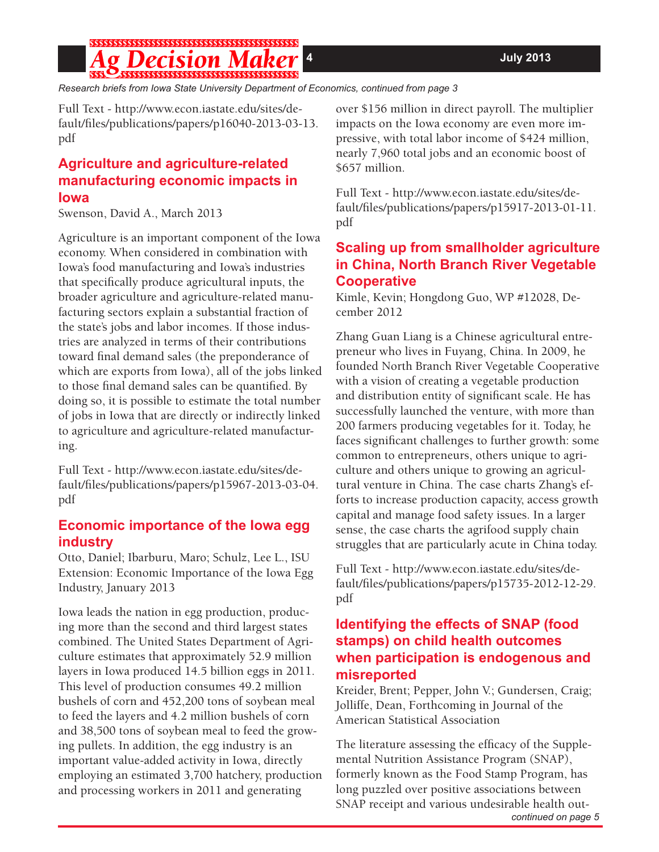#### g Decision Maker

*Research briefs from Iowa State University Department of Economics, continued from page 3*

Full Text - http://www.econ.iastate.edu/sites/default/files/publications/papers/p16040-2013-03-13. pdf

#### **Agriculture and agriculture-related manufacturing economic impacts in Iowa**

Swenson, David A., March 2013

Agriculture is an important component of the Iowa economy. When considered in combination with Iowa's food manufacturing and Iowa's industries that specifically produce agricultural inputs, the broader agriculture and agriculture-related manufacturing sectors explain a substantial fraction of the state's jobs and labor incomes. If those industries are analyzed in terms of their contributions toward final demand sales (the preponderance of which are exports from Iowa), all of the jobs linked to those final demand sales can be quantified. By doing so, it is possible to estimate the total number of jobs in Iowa that are directly or indirectly linked to agriculture and agriculture-related manufacturing.

Full Text - http://www.econ.iastate.edu/sites/default/files/publications/papers/p15967-2013-03-04. pdf

#### **Economic importance of the Iowa egg industry**

Otto, Daniel; Ibarburu, Maro; Schulz, Lee L., ISU Extension: Economic Importance of the Iowa Egg Industry, January 2013

Iowa leads the nation in egg production, producing more than the second and third largest states combined. The United States Department of Agriculture estimates that approximately 52.9 million layers in Iowa produced 14.5 billion eggs in 2011. This level of production consumes 49.2 million bushels of corn and 452,200 tons of soybean meal to feed the layers and 4.2 million bushels of corn and 38,500 tons of soybean meal to feed the growing pullets. In addition, the egg industry is an important value-added activity in Iowa, directly employing an estimated 3,700 hatchery, production and processing workers in 2011 and generating

over \$156 million in direct payroll. The multiplier impacts on the Iowa economy are even more impressive, with total labor income of \$424 million, nearly 7,960 total jobs and an economic boost of \$657 million.

Full Text - http://www.econ.iastate.edu/sites/default/files/publications/papers/p15917-2013-01-11. pdf

## **Scaling up from smallholder agriculture in China, North Branch River Vegetable Cooperative**

Kimle, Kevin; Hongdong Guo, WP #12028, December 2012

Zhang Guan Liang is a Chinese agricultural entrepreneur who lives in Fuyang, China. In 2009, he founded North Branch River Vegetable Cooperative with a vision of creating a vegetable production and distribution entity of significant scale. He has successfully launched the venture, with more than 200 farmers producing vegetables for it. Today, he faces significant challenges to further growth: some common to entrepreneurs, others unique to agriculture and others unique to growing an agricultural venture in China. The case charts Zhang's efforts to increase production capacity, access growth capital and manage food safety issues. In a larger sense, the case charts the agrifood supply chain struggles that are particularly acute in China today.

Full Text - http://www.econ.iastate.edu/sites/default/files/publications/papers/p15735-2012-12-29. pdf

#### **Identifying the effects of SNAP (food stamps) on child health outcomes when participation is endogenous and misreported**

Kreider, Brent; Pepper, John V.; Gundersen, Craig; Jolliffe, Dean, Forthcoming in Journal of the American Statistical Association

The literature assessing the efficacy of the Supplemental Nutrition Assistance Program (SNAP), formerly known as the Food Stamp Program, has long puzzled over positive associations between SNAP receipt and various undesirable health out-